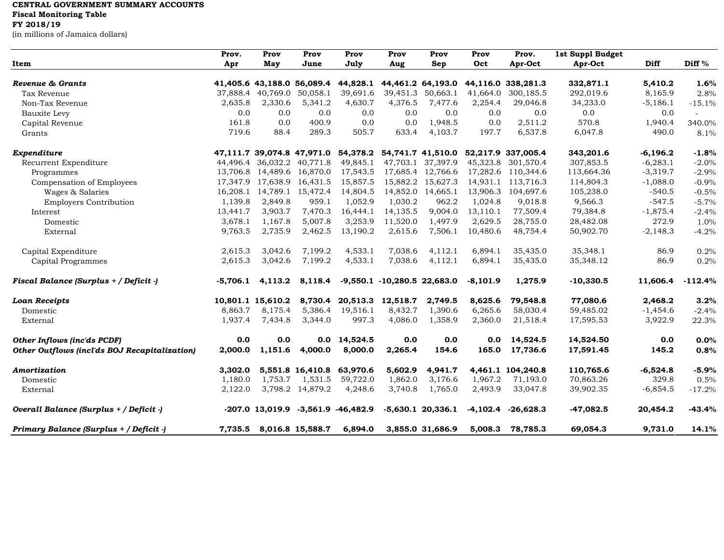## **CENTRAL GOVERNMENT SUMMARY ACCOUNTS Fiscal Monitoring Table**

## **FY 2018/19**

(in millions of Jamaica dollars)

|                                               | Prov.      | Prov                       | Prov              | Prov                 | Prov                            | Prov                | Prov       | Prov.              | 1st Suppl Budget |            |                          |
|-----------------------------------------------|------------|----------------------------|-------------------|----------------------|---------------------------------|---------------------|------------|--------------------|------------------|------------|--------------------------|
| Item                                          | Apr        | May                        | June              | July                 | Aug                             | Sep                 | Oct        | Apr-Oct            | Apr-Oct          | Diff       | Diff %                   |
| Revenue & Grants                              |            | 41,405.6 43,188.0          | 56,089.4          | 44,828.1             |                                 | 44,461.2 64,193.0   |            | 44,116.0 338,281.3 | 332,871.1        | 5,410.2    | 1.6%                     |
| Tax Revenue                                   | 37.888.4   | 40,769.0                   | 50,058.1          | 39,691.6             | 39,451.3                        | 50,663.1            | 41,664.0   | 300,185.5          | 292,019.6        | 8,165.9    | 2.8%                     |
| Non-Tax Revenue                               | 2,635.8    | 2,330.6                    | 5,341.2           | 4,630.7              | 4,376.5                         | 7,477.6             | 2,254.4    | 29,046.8           | 34,233.0         | $-5,186.1$ | $-15.1%$                 |
| Bauxite Levy                                  | 0.0        | 0.0                        | 0.0               | 0.0                  | 0.0                             | 0.0                 | 0.0        | 0.0                | 0.0              | 0.0        | $\overline{\phantom{a}}$ |
| Capital Revenue                               | 161.8      | 0.0                        | 400.9             | 0.0                  | 0.0                             | 1.948.5             | 0.0        | 2,511.2            | 570.8            | 1,940.4    | 340.0%                   |
| Grants                                        | 719.6      | 88.4                       | 289.3             | 505.7                | 633.4                           | 4,103.7             | 197.7      | 6,537.8            | 6,047.8          | 490.0      | 8.1%                     |
|                                               |            |                            |                   |                      |                                 |                     |            |                    |                  |            |                          |
| Expenditure                                   |            | 47,111.7 39,074.8 47,971.0 |                   |                      | 54,378.2 54,741.7 41,510.0      |                     |            | 52,217.9 337,005.4 | 343,201.6        | $-6,196.2$ | $-1.8%$                  |
| Recurrent Expenditure                         | 44.496.4   | 36,032.2                   | 40,771.8          | 49,845.1             |                                 | 47,703.1 37,397.9   |            | 45,323.8 301,570.4 | 307,853.5        | $-6,283.1$ | $-2.0%$                  |
| Programmes                                    | 13,706.8   | 14,489.6                   | 16,870.0          | 17,543.5             |                                 | 17,685.4 12,766.6   |            | 17,282.6 110,344.6 | 113,664.36       | $-3,319.7$ | $-2.9%$                  |
| Compensation of Employees                     | 17,347.9   | 17,638.9                   | 16,431.5          | 15,857.5             | 15,882.2                        | 15,627.3            | 14,931.1   | 113,716.3          | 114,804.3        | $-1,088.0$ | $-0.9%$                  |
| Wages & Salaries                              | 16,208.1   |                            | 14,789.1 15,472.4 | 14,804.5             | 14,852.0                        | 14,665.1            | 13,906.3   | 104,697.6          | 105,238.0        | $-540.5$   | $-0.5%$                  |
| <b>Employers Contribution</b>                 | 1,139.8    | 2,849.8                    | 959.1             | 1,052.9              | 1,030.2                         | 962.2               | 1,024.8    | 9,018.8            | 9,566.3          | $-547.5$   | $-5.7%$                  |
| Interest                                      | 13,441.7   | 3,903.7                    | 7,470.3           | 16,444.1             | 14,135.5                        | 9,004.0             | 13,110.1   | 77,509.4           | 79,384.8         | $-1,875.4$ | $-2.4%$                  |
| Domestic                                      | 3,678.1    | 1,167.8                    | 5,007.8           | 3,253.9              | 11,520.0                        | 1,497.9             | 2,629.5    | 28,755.0           | 28,482.08        | 272.9      | 1.0%                     |
| External                                      | 9,763.5    | 2,735.9                    | 2,462.5           | 13,190.2             | 2,615.6                         | 7,506.1             | 10,480.6   | 48,754.4           | 50,902.70        | $-2,148.3$ | $-4.2%$                  |
| Capital Expenditure                           | 2,615.3    | 3,042.6                    | 7,199.2           | 4,533.1              | 7,038.6                         | 4,112.1             | 6,894.1    | 35,435.0           | 35,348.1         | 86.9       | 0.2%                     |
|                                               | 2,615.3    | 3,042.6                    | 7,199.2           | 4,533.1              | 7,038.6                         | 4,112.1             | 6,894.1    |                    |                  | 86.9       |                          |
| Capital Programmes                            |            |                            |                   |                      |                                 |                     |            | 35,435.0           | 35,348.12        |            | 0.2%                     |
| Fiscal Balance (Surplus + / Deficit -)        | $-5,706.1$ | 4,113.2                    | 8,118.4           |                      | $-9,550.1$ $-10,280.5$ 22,683.0 |                     | $-8,101.9$ | 1,275.9            | $-10,330.5$      | 11,606.4   | $-112.4%$                |
| <b>Loan Receipts</b>                          |            | 10,801.1 15,610.2          | 8,730.4           | 20,513.3 12,518.7    |                                 | 2,749.5             | 8,625.6    | 79,548.8           | 77,080.6         | 2,468.2    | 3.2%                     |
| Domestic                                      | 8,863.7    | 8,175.4                    | 5,386.4           | 19,516.1             | 8,432.7                         | 1,390.6             | 6,265.6    | 58,030.4           | 59,485.02        | $-1,454.6$ | $-2.4%$                  |
| External                                      | 1,937.4    | 7,434.8                    | 3,344.0           | 997.3                | 4,086.0                         | 1,358.9             | 2,360.0    | 21,518.4           | 17,595.53        | 3,922.9    | 22.3%                    |
| Other Inflows (inc'ds PCDF)                   | 0.0        | 0.0                        | 0.0               | 14,524.5             | 0.0                             | 0.0                 | 0.0        | 14,524.5           | 14,524.50        | 0.0        | 0.0%                     |
| Other Outflows (incl'ds BOJ Recapitalization) | 2,000.0    | 1,151.6                    | 4,000.0           | 8,000.0              | 2,265.4                         | 154.6               | 165.0      | 17,736.6           | 17,591.45        | 145.2      | 0.8%                     |
| Amortization                                  | 3,302.0    |                            | 5,551.8 16,410.8  | 63,970.6             | 5,602.9                         | 4,941.7             |            | 4,461.1 104,240.8  | 110,765.6        | $-6,524.8$ | $-5.9%$                  |
|                                               | 1,180.0    | 1,753.7                    | 1,531.5           | 59,722.0             | 1,862.0                         | 3,176.6             | 1,967.2    | 71,193.0           | 70,863.26        | 329.8      | 0.5%                     |
| Domestic                                      |            |                            |                   |                      |                                 |                     |            |                    |                  |            |                          |
| External                                      | 2,122.0    | 3,798.2                    | 14,879.2          | 4,248.6              | 3,740.8                         | 1,765.0             | 2,493.9    | 33,047.8           | 39,902.35        | $-6,854.5$ | $-17.2%$                 |
| Overall Balance (Surplus + / Deficit -)       |            | -207.0 13,019.9            |                   | $-3,561.9 -46,482.9$ |                                 | $-5,630.1$ 20,336.1 | $-4,102.4$ | $-26,628.3$        | $-47,082.5$      | 20,454.2   | $-43.4%$                 |
| Primary Balance (Surplus + / Deficit -)       | 7,735.5    |                            | 8,016.8 15,588.7  | 6,894.0              |                                 | 3,855.0 31,686.9    | 5,008.3    | 78,785.3           | 69,054.3         | 9,731.0    | 14.1%                    |